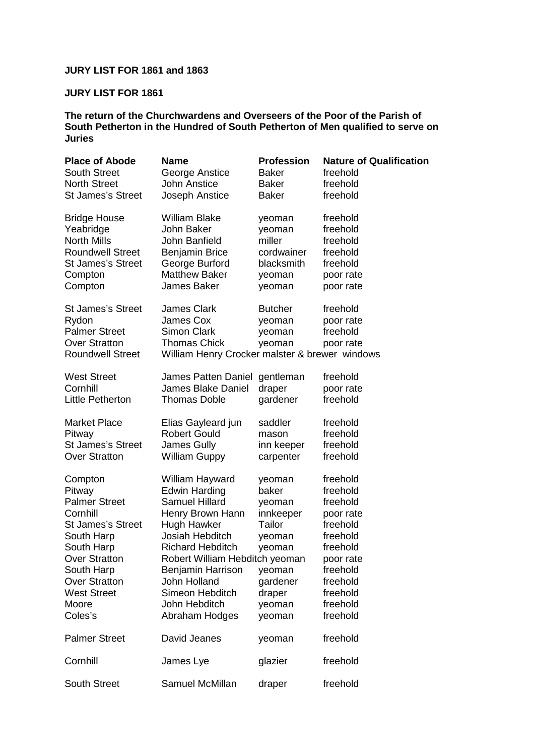## **JURY LIST FOR 1861 and 1863**

## **JURY LIST FOR 1861**

**The return of the Churchwardens and Overseers of the Poor of the Parish of South Petherton in the Hundred of South Petherton of Men qualified to serve on Juries** 

| <b>Place of Abode</b>    | <b>Name</b>                                    | <b>Profession</b> | <b>Nature of Qualification</b> |
|--------------------------|------------------------------------------------|-------------------|--------------------------------|
| <b>South Street</b>      | George Anstice                                 | <b>Baker</b>      | freehold                       |
| <b>North Street</b>      | <b>John Anstice</b>                            | <b>Baker</b>      | freehold                       |
| <b>St James's Street</b> | Joseph Anstice                                 | <b>Baker</b>      | freehold                       |
| <b>Bridge House</b>      | <b>William Blake</b>                           | yeoman            | freehold                       |
| Yeabridge                | John Baker                                     | yeoman            | freehold                       |
| <b>North Mills</b>       | John Banfield                                  | miller            | freehold                       |
| <b>Roundwell Street</b>  | <b>Benjamin Brice</b>                          | cordwainer        | freehold                       |
| <b>St James's Street</b> | George Burford                                 | blacksmith        | freehold                       |
| Compton                  | <b>Matthew Baker</b>                           | yeoman            | poor rate                      |
| Compton                  | James Baker                                    | yeoman            | poor rate                      |
| <b>St James's Street</b> | <b>James Clark</b>                             | <b>Butcher</b>    | freehold                       |
| Rydon                    | James Cox                                      | yeoman            | poor rate                      |
| <b>Palmer Street</b>     | <b>Simon Clark</b>                             | yeoman            | freehold                       |
| <b>Over Stratton</b>     | <b>Thomas Chick</b>                            | yeoman            | poor rate                      |
| <b>Roundwell Street</b>  | William Henry Crocker malster & brewer windows |                   |                                |
| <b>West Street</b>       | James Patten Daniel                            | gentleman         | freehold                       |
| Cornhill                 | <b>James Blake Daniel</b>                      | draper            | poor rate                      |
| Little Petherton         | <b>Thomas Doble</b>                            | gardener          | freehold                       |
| <b>Market Place</b>      | Elias Gayleard jun                             | saddler           | freehold                       |
| Pitway                   | <b>Robert Gould</b>                            | mason             | freehold                       |
| <b>St James's Street</b> | James Gully                                    | inn keeper        | freehold                       |
| <b>Over Stratton</b>     | <b>William Guppy</b>                           | carpenter         | freehold                       |
| Compton                  | William Hayward                                | yeoman            | freehold                       |
| Pitway                   | Edwin Harding                                  | baker             | freehold                       |
| <b>Palmer Street</b>     | <b>Samuel Hillard</b>                          | yeoman            | freehold                       |
| Cornhill                 | Henry Brown Hann                               | innkeeper         | poor rate                      |
| <b>St James's Street</b> | Hugh Hawker                                    | Tailor            | freehold                       |
| South Harp               | Josiah Hebditch                                | yeoman            | freehold                       |
| South Harp               | <b>Richard Hebditch</b>                        | yeoman            | freehold                       |
| <b>Over Stratton</b>     | Robert William Hebditch yeoman                 |                   | poor rate                      |
| South Harp               | Benjamin Harrison                              | yeoman            | freehold                       |
| <b>Over Stratton</b>     | John Holland                                   | gardener          | freehold                       |
| <b>West Street</b>       | Simeon Hebditch                                | draper            | freehold                       |
| Moore                    | John Hebditch                                  | yeoman            | freehold                       |
| Coles's                  | Abraham Hodges                                 | yeoman            | freehold                       |
| <b>Palmer Street</b>     | David Jeanes                                   | yeoman            | freehold                       |
| Cornhill                 | James Lye                                      | glazier           | freehold                       |
| <b>South Street</b>      | Samuel McMillan                                | draper            | freehold                       |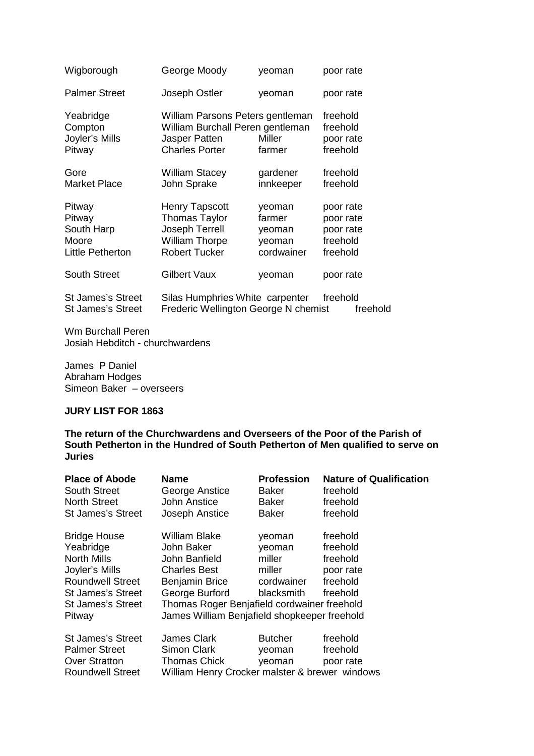| Wigborough                                                  | George Moody                                                                                                     | yeoman                                             | poor rate                                                   |
|-------------------------------------------------------------|------------------------------------------------------------------------------------------------------------------|----------------------------------------------------|-------------------------------------------------------------|
| <b>Palmer Street</b>                                        | Joseph Ostler                                                                                                    | yeoman                                             | poor rate                                                   |
| Yeabridge<br>Compton<br>Joyler's Mills<br>Pitway            | William Parsons Peters gentleman<br>William Burchall Peren gentleman<br>Jasper Patten<br><b>Charles Porter</b>   | Miller<br>farmer                                   | freehold<br>freehold<br>poor rate<br>freehold               |
| Gore<br><b>Market Place</b>                                 | <b>William Stacey</b><br>John Sprake                                                                             | gardener<br>innkeeper                              | freehold<br>freehold                                        |
| Pitway<br>Pitway<br>South Harp<br>Moore<br>Little Petherton | <b>Henry Tapscott</b><br><b>Thomas Taylor</b><br>Joseph Terrell<br><b>William Thorpe</b><br><b>Robert Tucker</b> | yeoman<br>farmer<br>yeoman<br>yeoman<br>cordwainer | poor rate<br>poor rate<br>poor rate<br>freehold<br>freehold |
| <b>South Street</b>                                         | Gilbert Vaux                                                                                                     | yeoman                                             | poor rate                                                   |
| <b>St James's Street</b><br><b>St James's Street</b>        | Silas Humphries White carpenter<br>Frederic Wellington George N chemist                                          |                                                    | freehold<br>freehold                                        |

Wm Burchall Peren Josiah Hebditch - churchwardens

James P Daniel Abraham Hodges Simeon Baker – overseers

## **JURY LIST FOR 1863**

**The return of the Churchwardens and Overseers of the Poor of the Parish of South Petherton in the Hundred of South Petherton of Men qualified to serve on Juries** 

| <b>Place of Abode</b><br><b>South Street</b><br><b>North Street</b>                                                                                     | Name<br>George Anstice<br>John Anstice                                                                                                                                                                 | <b>Profession</b><br>Baker<br>Baker                              | <b>Nature of Qualification</b><br>freehold<br>freehold                |
|---------------------------------------------------------------------------------------------------------------------------------------------------------|--------------------------------------------------------------------------------------------------------------------------------------------------------------------------------------------------------|------------------------------------------------------------------|-----------------------------------------------------------------------|
| <b>St James's Street</b>                                                                                                                                | Joseph Anstice                                                                                                                                                                                         | Baker                                                            | freehold                                                              |
| <b>Bridge House</b><br>Yeabridge<br><b>North Mills</b><br>Joyler's Mills<br><b>Roundwell Street</b><br>St James's Street<br>St James's Street<br>Pitway | William Blake<br>John Baker<br>John Banfield<br><b>Charles Best</b><br>Benjamin Brice<br>George Burford<br>Thomas Roger Benjafield cordwainer freehold<br>James William Benjafield shopkeeper freehold | yeoman<br>yeoman<br>miller<br>miller<br>cordwainer<br>blacksmith | freehold<br>freehold<br>freehold<br>poor rate<br>freehold<br>freehold |
| St James's Street<br><b>Palmer Street</b><br><b>Over Stratton</b><br><b>Roundwell Street</b>                                                            | James Clark<br>Simon Clark<br><b>Thomas Chick</b><br>William Henry Crocker malster & brewer windows                                                                                                    | <b>Butcher</b><br>yeoman<br>veoman                               | freehold<br>freehold<br>poor rate                                     |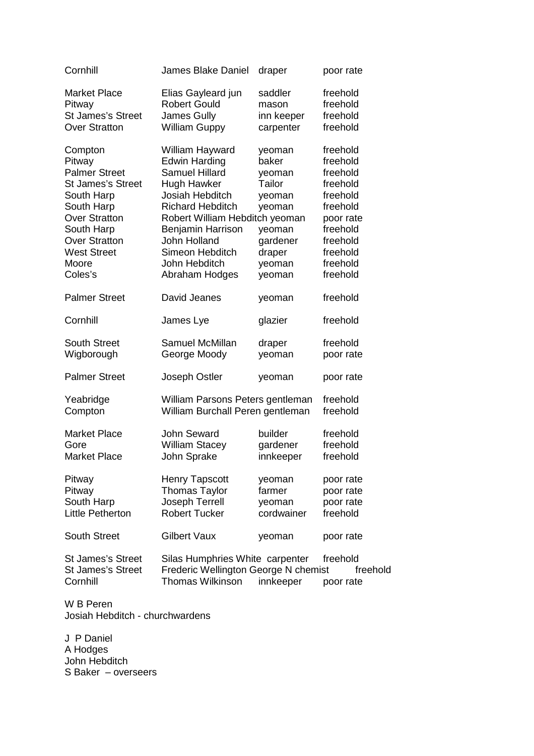| Cornhill                                                                                                                                                                                                  | <b>James Blake Daniel</b>                                                                                                                                                                                                                                  | draper                                                                                                      | poor rate                                                                                                                                     |
|-----------------------------------------------------------------------------------------------------------------------------------------------------------------------------------------------------------|------------------------------------------------------------------------------------------------------------------------------------------------------------------------------------------------------------------------------------------------------------|-------------------------------------------------------------------------------------------------------------|-----------------------------------------------------------------------------------------------------------------------------------------------|
| <b>Market Place</b>                                                                                                                                                                                       | Elias Gayleard jun                                                                                                                                                                                                                                         | saddler                                                                                                     | freehold                                                                                                                                      |
| Pitway                                                                                                                                                                                                    | <b>Robert Gould</b>                                                                                                                                                                                                                                        | mason                                                                                                       | freehold                                                                                                                                      |
| <b>St James's Street</b>                                                                                                                                                                                  | James Gully                                                                                                                                                                                                                                                | inn keeper                                                                                                  | freehold                                                                                                                                      |
| <b>Over Stratton</b>                                                                                                                                                                                      | <b>William Guppy</b>                                                                                                                                                                                                                                       | carpenter                                                                                                   | freehold                                                                                                                                      |
| Compton<br>Pitway<br><b>Palmer Street</b><br><b>St James's Street</b><br>South Harp<br>South Harp<br><b>Over Stratton</b><br>South Harp<br><b>Over Stratton</b><br><b>West Street</b><br>Moore<br>Coles's | William Hayward<br><b>Edwin Harding</b><br><b>Samuel Hillard</b><br>Hugh Hawker<br>Josiah Hebditch<br><b>Richard Hebditch</b><br>Robert William Hebditch yeoman<br>Benjamin Harrison<br>John Holland<br>Simeon Hebditch<br>John Hebditch<br>Abraham Hodges | yeoman<br>baker<br>yeoman<br>Tailor<br>yeoman<br>yeoman<br>yeoman<br>gardener<br>draper<br>yeoman<br>yeoman | freehold<br>freehold<br>freehold<br>freehold<br>freehold<br>freehold<br>poor rate<br>freehold<br>freehold<br>freehold<br>freehold<br>freehold |
| <b>Palmer Street</b>                                                                                                                                                                                      | David Jeanes                                                                                                                                                                                                                                               | yeoman                                                                                                      | freehold                                                                                                                                      |
| Cornhill                                                                                                                                                                                                  | James Lye                                                                                                                                                                                                                                                  | glazier                                                                                                     | freehold                                                                                                                                      |
| <b>South Street</b>                                                                                                                                                                                       | Samuel McMillan                                                                                                                                                                                                                                            | draper                                                                                                      | freehold                                                                                                                                      |
| Wigborough                                                                                                                                                                                                | George Moody                                                                                                                                                                                                                                               | yeoman                                                                                                      | poor rate                                                                                                                                     |
| <b>Palmer Street</b>                                                                                                                                                                                      | Joseph Ostler                                                                                                                                                                                                                                              | yeoman                                                                                                      | poor rate                                                                                                                                     |
| Yeabridge                                                                                                                                                                                                 | William Parsons Peters gentleman                                                                                                                                                                                                                           |                                                                                                             | freehold                                                                                                                                      |
| Compton                                                                                                                                                                                                   | William Burchall Peren gentleman                                                                                                                                                                                                                           |                                                                                                             | freehold                                                                                                                                      |
| <b>Market Place</b>                                                                                                                                                                                       | John Seward                                                                                                                                                                                                                                                | builder                                                                                                     | freehold                                                                                                                                      |
| Gore                                                                                                                                                                                                      | <b>William Stacey</b>                                                                                                                                                                                                                                      | gardener                                                                                                    | freehold                                                                                                                                      |
| <b>Market Place</b>                                                                                                                                                                                       | John Sprake                                                                                                                                                                                                                                                | innkeeper                                                                                                   | freehold                                                                                                                                      |
| Pitway                                                                                                                                                                                                    | <b>Henry Tapscott</b>                                                                                                                                                                                                                                      | yeoman                                                                                                      | poor rate                                                                                                                                     |
| Pitway                                                                                                                                                                                                    | <b>Thomas Taylor</b>                                                                                                                                                                                                                                       | farmer                                                                                                      | poor rate                                                                                                                                     |
| South Harp                                                                                                                                                                                                | Joseph Terrell                                                                                                                                                                                                                                             | yeoman                                                                                                      | poor rate                                                                                                                                     |
| <b>Little Petherton</b>                                                                                                                                                                                   | <b>Robert Tucker</b>                                                                                                                                                                                                                                       | cordwainer                                                                                                  | freehold                                                                                                                                      |
| <b>South Street</b>                                                                                                                                                                                       | <b>Gilbert Vaux</b>                                                                                                                                                                                                                                        | yeoman                                                                                                      | poor rate                                                                                                                                     |
| <b>St James's Street</b>                                                                                                                                                                                  | Silas Humphries White carpenter                                                                                                                                                                                                                            | innkeeper                                                                                                   | freehold                                                                                                                                      |
| <b>St James's Street</b>                                                                                                                                                                                  | Frederic Wellington George N chemist                                                                                                                                                                                                                       |                                                                                                             | freehold                                                                                                                                      |
| Cornhill                                                                                                                                                                                                  | Thomas Wilkinson                                                                                                                                                                                                                                           |                                                                                                             | poor rate                                                                                                                                     |

W B Peren Josiah Hebditch - churchwardens

J P Daniel A Hodges John Hebditch S Baker – overseers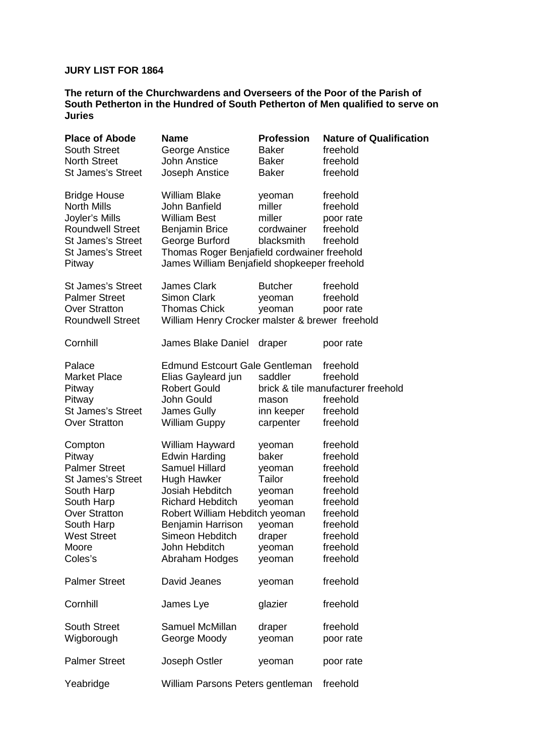## **JURY LIST FOR 1864**

**The return of the Churchwardens and Overseers of the Poor of the Parish of South Petherton in the Hundred of South Petherton of Men qualified to serve on Juries** 

| <b>Place of Abode</b>    | <b>Name</b>                                     | <b>Profession</b> | <b>Nature of Qualification</b>     |
|--------------------------|-------------------------------------------------|-------------------|------------------------------------|
| <b>South Street</b>      | George Anstice                                  | <b>Baker</b>      | freehold                           |
| <b>North Street</b>      | <b>John Anstice</b>                             | <b>Baker</b>      | freehold                           |
| <b>St James's Street</b> | Joseph Anstice                                  | <b>Baker</b>      | freehold                           |
| <b>Bridge House</b>      | <b>William Blake</b>                            | yeoman            | freehold                           |
| <b>North Mills</b>       | John Banfield                                   | miller            | freehold                           |
| Joyler's Mills           | <b>William Best</b>                             | miller            | poor rate                          |
| <b>Roundwell Street</b>  | <b>Benjamin Brice</b>                           | cordwainer        | freehold                           |
| <b>St James's Street</b> | George Burford                                  | blacksmith        | freehold                           |
| <b>St James's Street</b> | Thomas Roger Benjafield cordwainer freehold     |                   |                                    |
| Pitway                   | James William Benjafield shopkeeper freehold    |                   |                                    |
| <b>St James's Street</b> | <b>James Clark</b>                              | <b>Butcher</b>    | freehold                           |
| <b>Palmer Street</b>     | <b>Simon Clark</b>                              | yeoman            | freehold                           |
| <b>Over Stratton</b>     | <b>Thomas Chick</b>                             | yeoman            | poor rate                          |
| <b>Roundwell Street</b>  | William Henry Crocker malster & brewer freehold |                   |                                    |
| Cornhill                 | <b>James Blake Daniel</b>                       | draper            | poor rate                          |
| Palace                   | <b>Edmund Estcourt Gale Gentleman</b>           |                   | freehold                           |
| <b>Market Place</b>      | Elias Gayleard jun                              | saddler           | freehold                           |
| Pitway                   | <b>Robert Gould</b>                             |                   | brick & tile manufacturer freehold |
| Pitway                   | John Gould                                      | mason             | freehold                           |
| <b>St James's Street</b> | James Gully                                     | inn keeper        | freehold                           |
| <b>Over Stratton</b>     | <b>William Guppy</b>                            | carpenter         | freehold                           |
| Compton                  | William Hayward                                 | yeoman            | freehold                           |
| Pitway                   | <b>Edwin Harding</b>                            | baker             | freehold                           |
| <b>Palmer Street</b>     | <b>Samuel Hillard</b>                           | yeoman            | freehold                           |
| <b>St James's Street</b> | Hugh Hawker                                     | Tailor            | freehold                           |
| South Harp               | Josiah Hebditch                                 | yeoman            | freehold                           |
| South Harp               | <b>Richard Hebditch</b>                         | yeoman            | freehold                           |
| <b>Over Stratton</b>     | Robert William Hebditch yeoman                  |                   | freehold                           |
| South Harp               | <b>Benjamin Harrison</b>                        | yeoman            | freehold                           |
| <b>West Street</b>       | Simeon Hebditch                                 | draper            | freehold                           |
| Moore                    | John Hebditch                                   | yeoman            | freehold                           |
| Coles's                  | Abraham Hodges                                  | yeoman            | freehold                           |
| <b>Palmer Street</b>     | David Jeanes                                    | yeoman            | freehold                           |
| Cornhill                 | James Lye                                       | glazier           | freehold                           |
| <b>South Street</b>      | Samuel McMillan                                 | draper            | freehold                           |
| Wigborough               | George Moody                                    | yeoman            | poor rate                          |
| <b>Palmer Street</b>     | Joseph Ostler                                   | yeoman            | poor rate                          |
| Yeabridge                | William Parsons Peters gentleman                |                   | freehold                           |